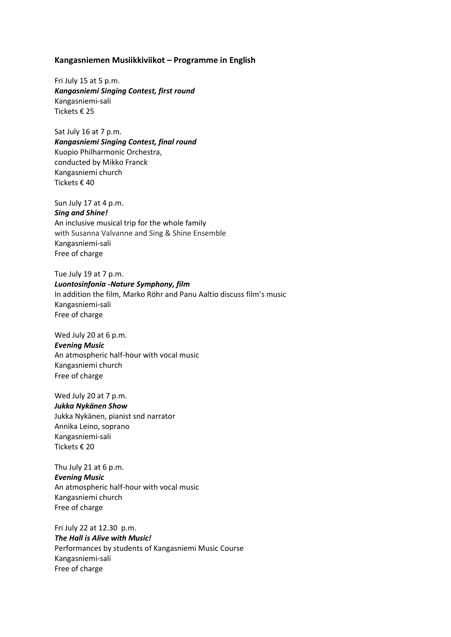## **Kangasniemen Musiikkiviikot – Programme in English**

Fri July 15 at 5 p.m. *Kangasniemi Singing Contest, first round* Kangasniemi-sali Tickets € 25

Sat July 16 at 7 p.m. *Kangasniemi Singing Contest, final round* Kuopio Philharmonic Orchestra, conducted by Mikko Franck Kangasniemi church Tickets € 40

Sun July 17 at 4 p.m. *Sing and Shine!* An inclusive musical trip for the whole family with Susanna Valvanne and Sing & Shine Ensemble Kangasniemi-sali Free of charge

Tue July 19 at 7 p.m. *Luontosinfonia -Nature Symphony, film* In addition the film, Marko Röhr and Panu Aaltio discuss film's music Kangasniemi-sali Free of charge

Wed July 20 at 6 p.m. *Evening Music* An atmospheric half-hour with vocal music Kangasniemi church Free of charge

Wed July 20 at 7 p.m. *Jukka Nykänen Show* Jukka Nykänen, pianist snd narrator Annika Leino, soprano Kangasniemi-sali Tickets € 20

Thu July 21 at 6 p.m. *Evening Music* An atmospheric half-hour with vocal music Kangasniemi church Free of charge

Fri July 22 at 12.30 p.m. *The Hall is Alive with Music!* Performances by students of Kangasniemi Music Course Kangasniemi-sali Free of charge